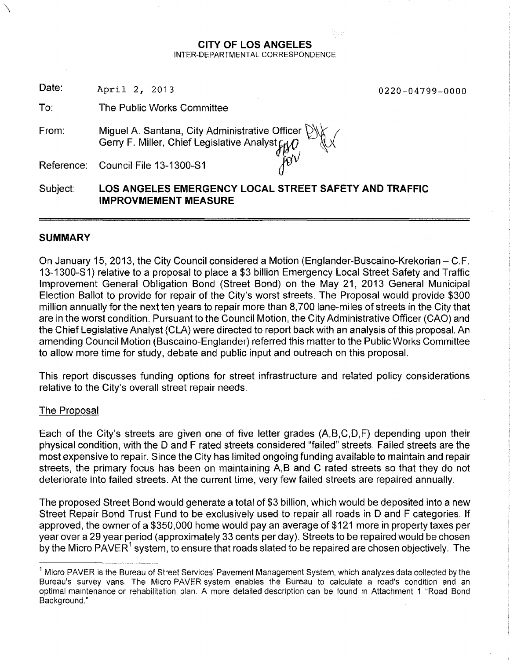#### **CITY OF LOS ANGELES** INTER-DEPARTMENTAL CORRESPONDENCE

Date: April 2, 2013

0220-04799-0000

To: The Public Works Committee

Miguel A. Santana, City Administrative Officer \tJ\}; *I* Gerry F. Miller, Chief Legislative Analyst<sub>fy</sub> From:

Council File 13-1300-S1 ~ Reference:

**LOS ANGELES EMERGENCY LOCAL STREET SAFETY AND TRAFFIC IMPROVMEMENT MEASURE** Subject:

# **SUMMARY**

**\** 

On January 15, 2013, the City Council considered a Motion (Englander-Buscaino-Krekorian – C.F. 13-1300-S1) relative to a proposal to place a \$3 billion Emergency Local Street Safety and Traffic Improvement General Obligation Bond (Street Bond) on the May 21, 2013 General Municipal Election Ballot to provide for repair of the City's worst streets. The Proposal would provide \$300 million annually for the next ten years to repair more than 8,700 lane-miles of streets in the City that are in the worst condition. Pursuant to the Council Motion, the City Administrative Officer (CAO) and the Chief Legislative Analyst (CLA) were directed to report back with an analysis of this proposal. An amending Council Motion (Buscaino-Englander) referred this matter to the Public Works Committee to allow more time for study, debate and public input and outreach on this proposal.

This report discusses funding options for street infrastructure and related policy considerations relative to the City's overall street repair needs.

# The Proposal

Each of the City's streets are given one of five letter grades (A,B,C,D,F) depending upon their physical condition, with the D and F rated streets considered "failed" streets. Failed streets are the most expensive to repair. Since the City has limited ongoing funding available to maintain and repair streets, the primary focus has been on maintaining A,B and C rated streets so that they do not deteriorate into failed streets. At the current time, very few failed streets are repaired annually.

The proposed Street Bond would generate a total of \$3 billion, which would be deposited into a new Street Repair Bond Trust Fund to be exclusively used to repair all roads in 0 and F categories. If approved, the owner of a \$350,000 home would pay an average of \$121 more in property taxes per year over a 29 year period (approximately 33 cents per day). Streets to be repaired would be chosen by the Micro PAVER $^{\rm 1}$  system, to ensure that roads slated to be repaired are chosen objectively. The

<sup>&</sup>lt;sup>1</sup> Micro PAVER is the Bureau of Street Services' Pavement Management System, which analyzes data collected by the Bureau's survey vans. The Micro PAVER system enables the Bureau to calculate a road's condition and an optimal maintenance or rehabilitation plan. A more detailed description can be found in Attachment 1 "Road Bond Background. "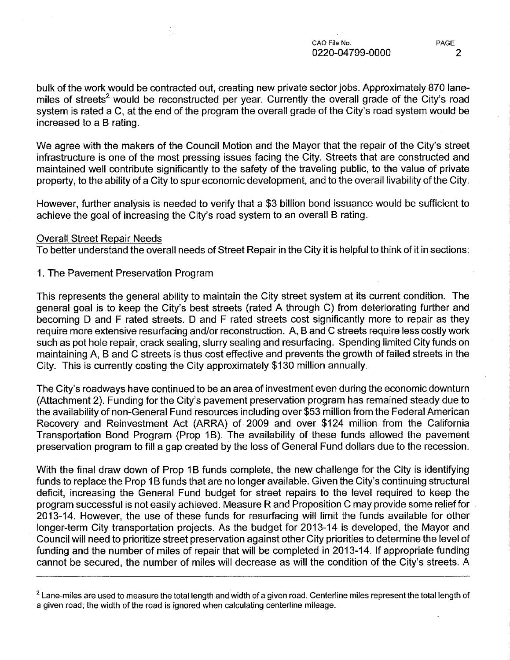bulk of the work would be contracted out, creating new private sector jobs. Approximately 870 lanemiles of streets<sup>2</sup> would be reconstructed per year. Currently the overall grade of the City's road system is rated a C, at the end of the program the overall grade of the City's road system would be increased to a B rating.

We agree with the makers of the Council Motion and the Mayor that the repair of the City's street infrastructure is one of the most pressing issues facing the City. Streets that are constructed and maintained well contribute significantly to the safety of the traveling public, to the value of private property, to the ability of a City to spur economic development, and to the overall livability ofthe City.

However, further analysis is needed to verify that a \$3 billion bond issuance would be sufficient to achieve the goal of increasing the City's road system to an overall B rating.

#### Overall Street Repair Needs

To better understand the overall needs of Street Repair in the City it is helpful to think of it in sections:

1. The Pavement Preservation Program

ξÝ,

This represents the general ability to maintain the City street system at its current condition. The general goal is to keep the City's best streets (rated A through C) from deteriorating further and becoming D and F rated streets. D and F rated streets cost significantly more to repair as they require more extensive resurfacing and/or reconstruction. A, Band C streets require less costly work such as pot hole repair, crack sealing, slurry sealing and resurfacing. Spending limited City funds on maintaining A, Band C streets is thus cost effective and prevents the growth of failed streets in the City. This is currently costing the City approximately \$130 million annually.

The City's roadways have continued to be an area of investment even during the economic downturn (Attachment 2). Funding for the City's pavement preservation program has remained steady due to the availability of non-General Fund resources including over \$53 million from the Federal American Recovery and Reinvestment Act (ARRA) of 2009 and over \$124 million from the California Transportation Bond Program (Prop 1B). The availability of these funds allowed the pavement preservation program to fill a gap created by the loss of General Fund dollars due to the recession.

With the final draw down of Prop 1B funds complete, the new challenge for the City is identifying funds to replace the Prop 1B funds that are no longer available. Given the City's continuing structural deficit, increasing the General Fund budget for street repairs to the level required to keep the program successful is not easily achieved. Measure R and Proposition C may provide some relieffor 2013-14. However, the use of these funds for resurfacing will limit the funds available for other longer-term City transportation projects. As the budget for 2013-14 is developed, the Mayor and Council will need to prioritize street preservation against other City priorities to determine the level of funding and the number of miles of repair that will be completed in 2013-14. If appropriate funding cannot be secured, the number of miles will decrease as will the condition of the City's streets. A

 $2$  Lane-miles are used to measure the total length and width of a given road. Centerline miles represent the total length of a given road; the width of the road is ignored when calculating centerline mileage.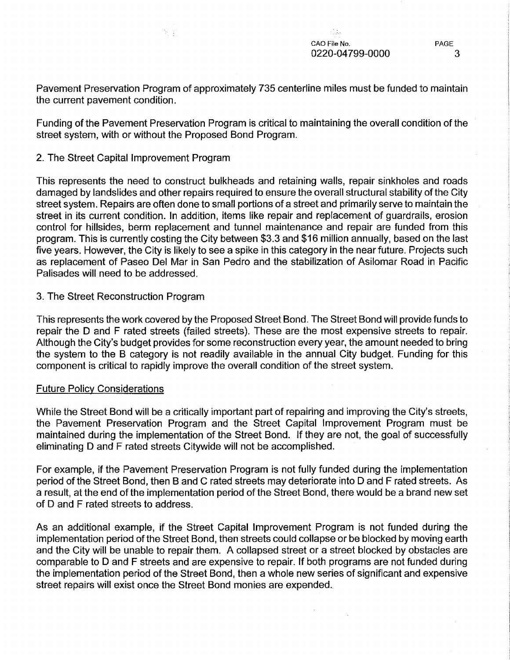PAGE 3

Pavement Preservation Program of approximately 735 centerline miles must be funded to maintain the current pavement condition.

Funding of the Pavement Preservation Program is critical to maintaining the overall condition of the street system, with or without the Proposed Bond Program.

# 2. The Street Capital Improvement Program

 $\mathcal{N}(\mathcal{X})$ 

This represents the need to construct bulkheads and retaining walls, repair sinkholes and roads damaged by landslides and other repairs required to ensure the overall structural stability of the City street system. Repairs are often done to small portions of a street and primarily serve to maintain the street in its current condition. In addition, items like repair and replacement of guardrails, erosion control for hillsides, berm replacement and tunnel maintenance and repair are funded from this program. This is currently costing the City between \$3.3 and \$16 million annually, based on the last five years. However, the City is likely to see a spike in this category in the near future. Projects such as replacement of Paseo Del Mar in San Pedro and the stabilization of Asilomar Road in Pacific Palisades will need to be addressed.

3. The Street Reconstruction Program

This represents the work covered by the Proposed Street Bond. The Street Bond will provide funds to repair the D and F rated streets (failed streets). These are the most expensive streets to repair. Although the City's budget provides for some reconstruction every year, the amount needed to bring the system to the B category is not readily available in the annual City budget. Funding for this component is critical to rapidly improve the overall condition of the street system.

# Future Policy Considerations

While the Street Bond will be a critically important part of repairing and improving the City's streets, the Pavement Preservation Program and the Street Capital Improvement Program must be maintained during the implementation of the Street Bond. If they are not, the goal of successfully eliminating D and F rated streets Citywide will not be accomplished.

For example, jf the Pavement Preservation Program is not fully funded during the implementation period of the Street Bond, then B and C rated streets may deteriorate into D and F rated streets. As a result, at the end of the implementation period of the Street Bond, there would be a brand new set of D and F rated streets to address.

As an additional example, if the Street Capital Improvement Program is not funded during the implementation period of the Street Bond, then streets could collapse or be blocked by moving earth and the City will be unable to repair them. A collapsed street or a street blocked by obstacles are comparable to D and F streets and are expensive to repair. If both programs are not funded during the implementation period of the Street Bond, then a whole new series of significant and expensive street repairs will exist once the Street Bond monies are expended.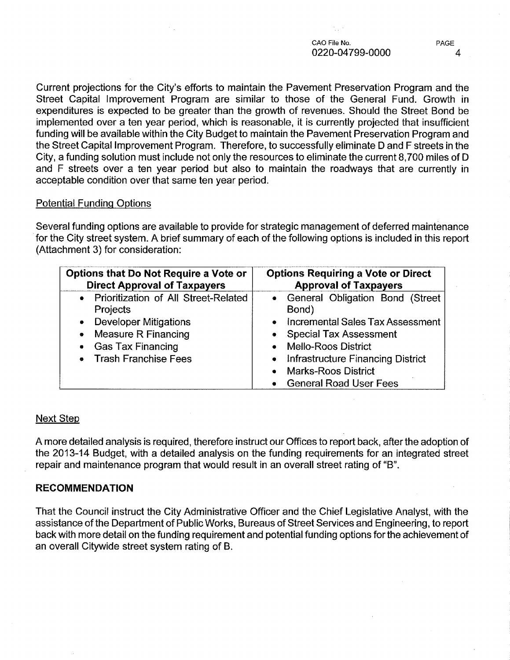CAO File No. 0220-04799-0000

Current projections for the City's efforts to maintain the Pavement Preservation Program and the Street Capital Improvement Program are similar to those of the General Fund. Growth in expenditures is expected to be greater than the growth of revenues. Should the Street Bond be implemented over a ten year period, which is reasonable, it is currently projected that insufficient funding will be available within the City Budget to maintain the Pavement Preservation Program and the Street Capital Improvement Program. Therefore, to successfully eliminate D and F streets in the City, a funding solution must include not only the resources to eliminate the current 8,700 miles of D and F streets over a ten year period but also to maintain the roadways that are currently in acceptable condition over that same ten year period.

# Potential Funding Options

Several funding options are available to provide for strategic management of deferred maintenance for the City street system. A brief summary of each of the following options is included in this report (Attachment 3) for consideration:

| <b>Options that Do Not Require a Vote or</b> | <b>Options Requiring a Vote or Direct</b> |
|----------------------------------------------|-------------------------------------------|
| <b>Direct Approval of Taxpayers</b>          | <b>Approval of Taxpayers</b>              |
| • Prioritization of All Street-Related       | • General Obligation Bond (Street         |
| <b>Projects</b>                              | Bond)                                     |
| • Developer Mitigations                      | • Incremental Sales Tax Assessment        |
| Measure R Financing                          | • Special Tax Assessment                  |
| ۰                                            | • Mello-Roos District                     |
| <b>Gas Tax Financing</b>                     | • Infrastructure Financing District       |
| $\bullet$                                    | • Marks-Roos District                     |
| • Trash Franchise Fees                       | • General Road User Fees                  |

# Next Step

A more detailed analysis is required, therefore instruct our Offices to report back, after the adoption of the 2013-14 Budget, with a detailed analysis on the funding requirements for an integrated street repair and maintenance program that would result in an overall street rating of "B".

# **RECOMMENDATION**

That the Council instruct the City Administrative Officer and the Chief Legislative Analyst, with the assistance of the Department of Public Works, Bureaus of Street Services and Engineering, to report back with more detail on the funding requirement and potential funding options for the achievement of an overall Citywide street system rating of B.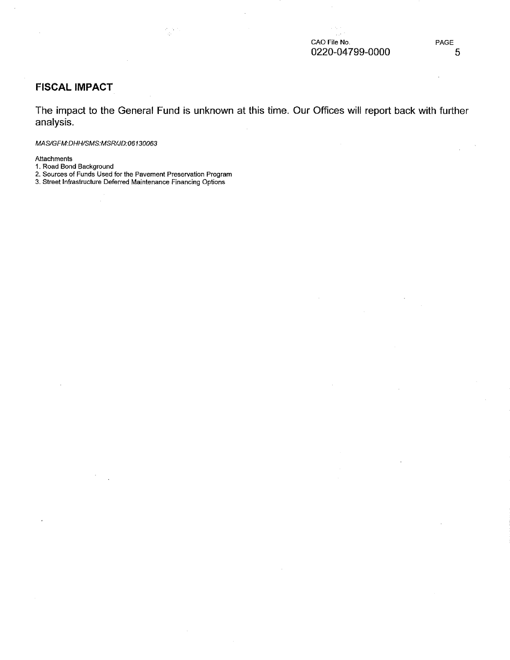$\sim$  .

# **FISCAL IMPACT**

**The impact to the General Fund is unknown at this time. Our Offices will report back with further analysis.**

#### *MAS/GFM:DHHISMS:MSRlJD:06130063*

Attachments

- 1. Road Bond Background
- 2. Sources of Funds Used for the Pavement Preservation Program

 $\frac{1}{4\pi}$ 

3. Street Infrastructure Deferred Maintenance Financing Options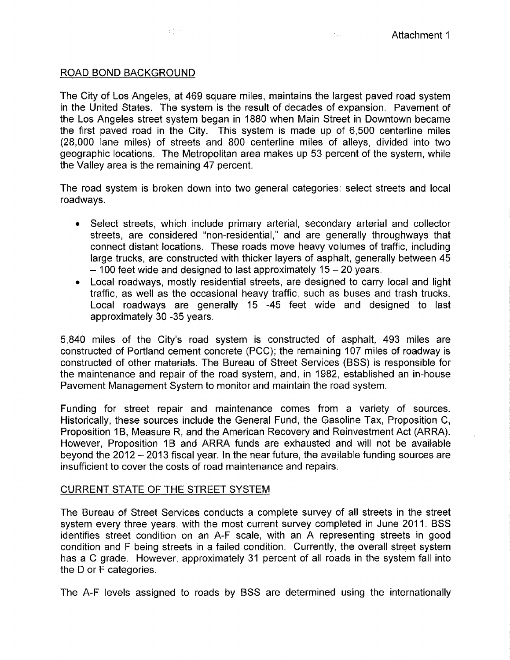3, 25

# ROAD BOND BACKGROUND

The City of Los Angeles, at 469 square miles, maintains the largest paved road system in the United States. The system is the result of decades of expansion. Pavement of the Los Angeles street system began in 1880 when Main Street in Downtown became the first paved road in the City. This system is made up of 6,500 centerline miles (28,000 lane miles) of streets and 800 centerline miles of alleys, divided into two geographic locations. The Metropolitan area makes up 53 percent of the system, while the Valley area is the remaining 47 percent.

The road system is broken down into two general categories: select streets and local roadways.

- Select streets, which include primary arterial, secondary arterial and collector streets, are considered "non-residential," and are generally throughways that connect distant locations. These roads move heavy volumes of traffic, including large trucks, are constructed with thicker layers of asphalt, generally between 45  $-$  100 feet wide and designed to last approximately 15  $-$  20 years.
- Local roadways, mostly residential streets, are designed to carry local and light traffic, as well as the occasional heavy traffic, such as buses and trash trucks. Local roadways are generally 15 -45 feet wide and designed to last approximately 30 -35 years.

5,840 miles of the City's road system is constructed of asphalt, 493 miles are constructed of Portland cement concrete (PCC); the remaining 107 miles of roadway is constructed of other materials. The Bureau of Street Services (BSS) is responsible for the maintenance and repair of the road system, and, in 1982, established an in-house Pavement Management System to monitor and maintain the road system.

Funding for street repair and maintenance comes from a variety of sources. Historically, these sources include the General Fund, the Gasoline Tax, Proposition C, Proposition 1B, Measure R, and the American Recovery and Reinvestment Act (ARRA). However, Proposition 1B and ARRA funds are exhausted and will not be available beyond the 2012 - 2013 fiscal year. In the near future, the available funding sources are insufficient to cover the costs of road maintenance and repairs.

# CURRENT STATE OF THE STREET SYSTEM

The Bureau of Street Services conducts a complete survey of all streets in the street system every three years, with the most current survey completed in June 2011. BSS identifies street condition on an A-F scale, with an A representing streets in good condition and F being streets in a failed condition. Currently, the overall street system has a C grade. However, approximately 31 percent of all roads in the system fall into the 0 or <sup>F</sup> categories.

The A-F levels assigned to roads by BSS are determined using the internationally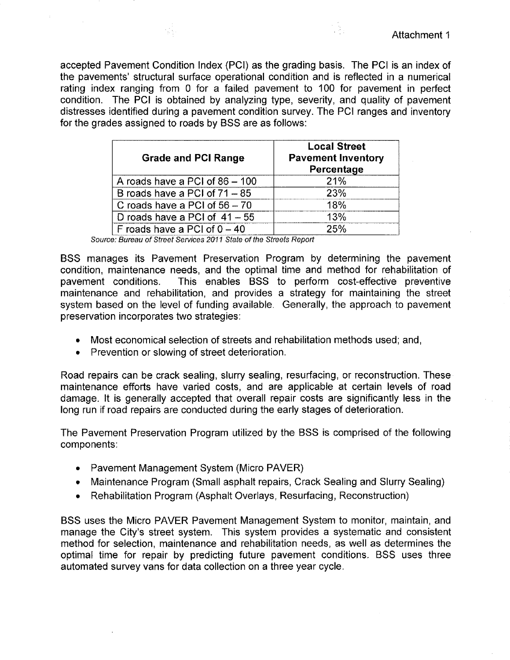accepted Pavement Condition Index (PCI) as the grading basis. The PCI is an index of the pavements' structural surface operational condition and is reflected in a numerical rating index ranging from 0 for a failed pavement to 100 for pavement in perfect condition. The PCI is obtained by analyzing type, severity, and quality of pavement distresses identified during a pavement condition survey. The PCI ranges and inventory for the grades assigned to roads by BSS are as follows:

| <b>Grade and PCI Range</b>      | <b>Local Street</b><br><b>Pavement Inventory</b><br>Percentage |
|---------------------------------|----------------------------------------------------------------|
| A roads have a PCI of 86 - 100  | 21%                                                            |
| B roads have a PCI of $71 - 85$ | 23%                                                            |
| C roads have a PCI of $56 - 70$ | 18%                                                            |
| D roads have a PCI of $41 - 55$ | 13%                                                            |
| F roads have a PCI of $0 - 40$  | 25%                                                            |

*Source: Bureau of Street Services 2011 State of the Streets Report*

BSS manages its Pavement Preservation Program by determining the pavement condition, maintenance needs, and the optimal time and method for rehabilitation of pavement conditions. This enables BSS to perform cost-effective preventive maintenance and rehabilitation, and provides a strategy for maintaining the street system based on the level of funding available. Generally, the approach to pavement preservation incorporates two strategies:

- Most economical selection of streets and rehabilitation methods used; and,
- Prevention or slowing of street deterioration.

Road repairs can be crack sealing, slurry sealing, resurfacing, or reconstruction. These maintenance efforts have varied costs, and are applicable at certain levels of road damage. It is generally accepted that overall repair costs are significantly less in the long run if road repairs are conducted during the early stages of deterioration.

The Pavement Preservation Program utilized by the BSS is comprised of the following components:

- Pavement Management System (Micro PAVER)
- Maintenance Program (Small asphalt repairs, Crack Sealing and Slurry Sealing)
- Rehabilitation Program (Asphalt Overlays, Resurfacing, Reconstruction)

BSS uses the Micro PAVER Pavement Management System to monitor, maintain, and manage the City's street system. This system provides a systematic and consistent method for selection, maintenance and rehabilitation needs, as well as determines the optimal time for repair by predicting future pavement conditions. BSS uses three automated survey vans for data collection on a three year cycle.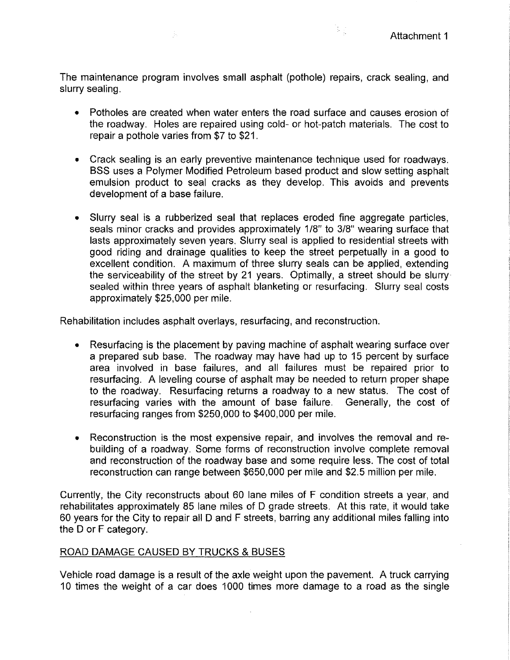i.<br>Fil

The maintenance program involves small asphalt (pothole) repairs, crack sealing, and slurry sealing.

Ŵ.

- Potholes are created when water enters the road surface and causes erosion of the roadway. Holes are repaired using cold- or hot-patch materials. The cost to repair a pothole varies from \$7 to \$21.
- Crack sealing is an early preventive maintenance technique used for roadways. BSS uses a Polymer Modified Petroleum based product and slow setting asphalt emulsion product to seal cracks as they develop. This avoids and prevents development of a base failure.
- Slurry seal is a rubberized seal that replaces eroded fine aggregate particles, seals minor cracks and provides approximately 1/8" to 3/8" wearing surface that lasts approximately seven years. Slurry seal is applied to residential streets with good riding and drainage qualities to keep the street perpetually in a good to excellent condition. A maximum of three slurry seals can be applied, extending the serviceability of the street by 21 years. Optimally, a street should be slurry sealed within three years of asphalt blanketing or resurfacing. Slurry seal costs approximately \$25,000 per mile.

Rehabilitation includes asphalt overlays, resurfacing, and reconstruction.

- Resurfacing is the placement by paving machine of asphalt wearing surface over a prepared sub base. The roadway may have had up to 15 percent by surface area involved in base failures, and all failures must be repaired prior to resurfacing. A leveling course of asphalt may be needed to return proper shape to the roadway. Resurfacing returns a roadway to a new status. The cost of resurfacing varies with the amount of base failure. Generally, the cost of resurfacing ranges from \$250,000 to \$400,000 per mile.
- Reconstruction is the most expensive repair, and involves the removal and rebuilding of a roadway. Some forms of reconstruction involve complete removal and reconstruction of the roadway base and some require less. The cost of total reconstruction can range between \$650,000 per mile and \$2.5 million per mile.

Currently, the City reconstructs about 60 lane miles of F condition streets a year, and rehabilitates approximately 85 lane miles of 0 grade streets. At this rate, it would take 60 years for the City to repair all 0 and F streets, barring any additional miles falling into the 0 or F category.

# ROAD DAMAGE CAUSED BY TRUCKS & BUSES

Vehicle road damage is a result of the axle weight upon the pavement. A truck carrying 10 times the weight of a car does 1000 times more damage to a road as the single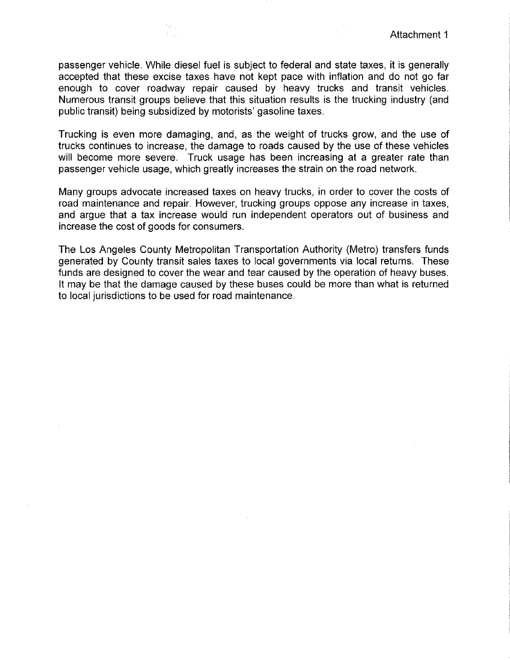passenger vehicle. While diesel fuel is subject to federal and state taxes, it is generally accepted that these excise taxes have not kept pace with inflation and do not go far enough to cover roadway repair caused by heavy trucks and transit vehicles. Numerous transit groups believe that this situation results is the trucking industry (and public transit) being subsidized by motorists' gasoline taxes.

Trucking is even more damaging, and, as the weight of trucks grow, and the use of trucks continues to increase, the damage to roads caused by the use of these vehicles will become more severe. Truck usage has been increasing at a greater rate than passenger vehicle usage, which greatly increases the strain on the road network.

Many groups advocate increased taxes on heavy trucks, in order to cover the costs of road maintenance and repair. However, trucking groups oppose any increase in taxes, and argue that a tax increase would run independent operators out of business and increase the cost of goods for consumers.

The Los Angeles County Metropolitan Transportation Authority (Metro) transfers funds generated by County transit sales taxes to local governments via local returns. These funds are designed to cover the wear and tear caused by the operation of heavy buses. It may be that the damage caused by these buses could be more than what is returned to local jurisdictions to be used for road maintenance.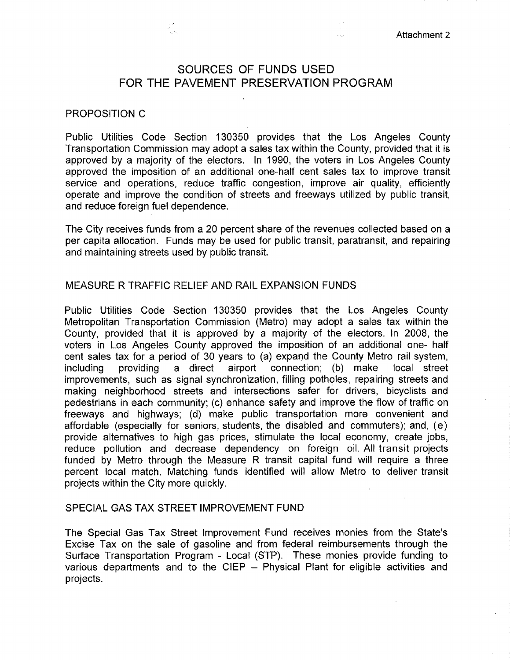# SOURCES OF FUNDS USED FOR THE PAVEMENT PRESERVATION PROGRAM

#### PROPOSITION C

Public Utilities Code Section 130350 provides that the Los Angeles County Transportation Commission may adopt a sales tax within the County, provided that it is approved by a majority of the electors. In 1990, the voters in Los Angeles County approved the imposition of an additional one-half cent sales tax to improve transit service and operations, reduce traffic congestion, improve air quality, efficiently operate and improve the condition of streets and freeways utilized by public transit, and reduce foreign fuel dependence.

The City receives funds from a 20 percent share of the revenues collected based on a per capita allocation. Funds may be used for public transit, paratransit, and repairing and maintaining streets used by public transit.

#### MEASURE R TRAFFIC RELIEF AND RAIL EXPANSION FUNDS

Public Utilities Code Section 130350 provides that the Los Angeles County Metropolitan Transportation Commission (Metro) may adopt a sales tax within the County, provided that it is approved by a majority of the electors. In 2008, the voters in Los Angeles County approved the imposition of an additional one- half cent sales tax for a period of 30 years to (a) expand the County Metro rail system, including providing a direct airport connection; (b) make local street improvements, such as signal synchronization, filling potholes, repairing streets and making neighborhood streets and intersections safer for drivers, bicyclists and pedestrians in each community; (c) enhance safety and improve the flow of traffic on freeways and highways; (d) make public transportation more convenient and affordable (especially for seniors, students, the disabled and commuters); and, (e) provide alternatives to high gas prices, stimulate the local economy, create jobs, reduce pollution and decrease dependency on foreign oil. All transit projects funded by Metro through the Measure R transit capital fund will require a three percent local match. Matching funds identified will allow Metro to deliver transit projects within the City more quickly.

# SPECIAL GAS TAX STREET IMPROVEMENT FUND

The Special Gas Tax Street Improvement Fund receives monies from the State's Excise Tax on the sale of gasoline and from federal reimbursements through the Surface Transportation Program - Local (STP). These monies provide funding to various departments and to the CIEP - Physical Plant for eligible activities and projects.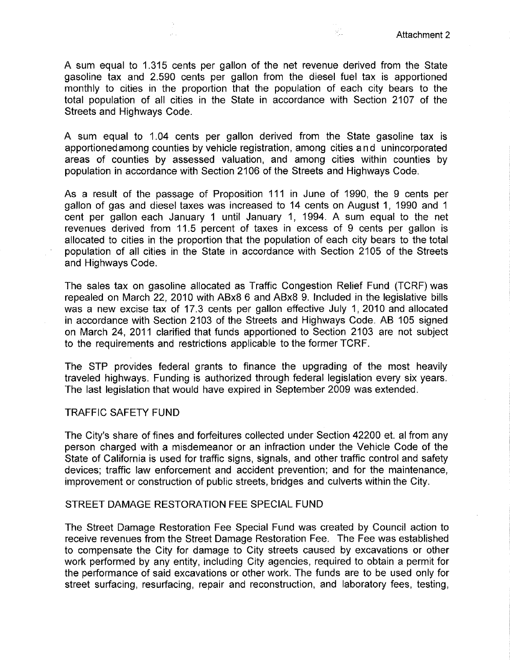$\mathcal{P}_{\mathcal{A}}^{(n)}$ 

A sum equal to 1.315 cents per gallon of the net revenue derived from the State gasoline tax and 2.590 cents per gallon from the diesel fuel tax is apportioned monthly to cities in the proportion that the population of each city bears to the total population of all cities in the State in accordance with Section 2107 of the Streets and Highways Code.

 $\mathcal{P}^{\pm}$  .

A sum equal to 1.04 cents per gallon derived from the State gasoline tax is apportioned among counties by vehicle registration, among cities and unincorporated areas of counties by assessed valuation, and among cities within counties by population in accordance with Section 2106 of the Streets and Highways Code.

As a result of the passage of Proposition 111 in June of 1990, the 9 cents per gallon of gas and diesel taxes was increased to 14 cents on August 1, 1990 and 1 cent per gallon each January 1 until January 1, 1994. A sum equal to the net revenues derived from 11.5 percent of taxes in excess of 9 cents per gallon is allocated to cities in the proportion that the population of each city bears to the total population of all cities in the State in accordance with Section 2105 of the Streets and Highways Code.

The sales tax on gasoline allocated as Traffic Congestion Relief Fund (TCRF) was repealed on March 22, 2010 with ABx8 6 and ABx8 9. Included in the legislative bills was a new excise tax of 17.3 cents per gallon effective July 1,2010 and allocated in accordance with Section 2103 of the Streets and Highways Code. AB 105 signed on March 24, 2011 clarified that funds apportioned to Section 2103 are not subject to the requirements and restrictions applicable to the former TCRF.

The STP provides federal grants to finance the upgrading of the most heavily traveled highways. Funding is authorized through federal legislation every six years. The last legislation that would have expired in September 2009 was extended.

#### TRAFFIC SAFETY FUND

The City's share of fines and forfeitures collected under Section 42200 et. al from any person charged with a misdemeanor or an infraction under the Vehicle Code of the State of California is used for traffic signs, signals, and other traffic control and safety devices; traffic law enforcement and accident prevention; and for the maintenance, improvement or construction of public streets, bridges and culverts within the City.

#### STREET DAMAGE RESTORATION FEE SPECIAL FUND

The Street Damage Restoration Fee Special Fund was created by Council action to receive revenues from the Street Damage Restoration Fee. The Fee was established to compensate the City for damage to City streets caused by excavations or other work performed by any entity, including City agencies, required to obtain a permit for the performance of said excavations or other work. The funds are to be used only for street surfacing, resurfacing, repair and reconstruction, and laboratory fees, testing,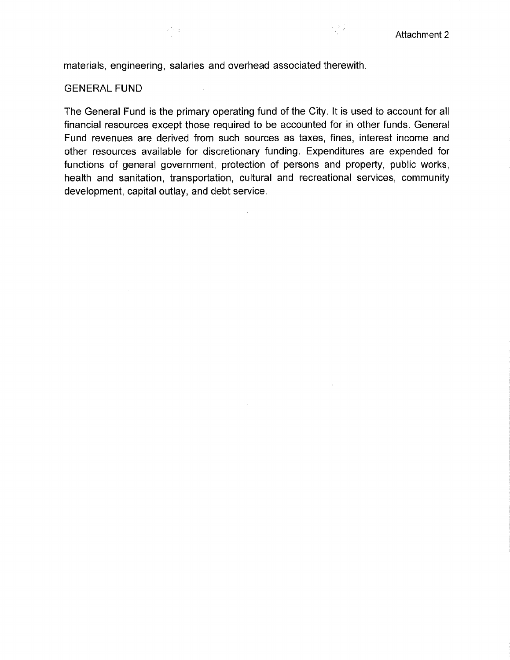k e j

materials, engineering, salaries and overhead associated therewith.

 $\frac{1}{2}$  ,  $\frac{1}{2}$ 

# GENERAL FUND

The General Fund is the primary operating fund of the City. It is used to account for all financial resources except those required to be accounted for in other funds. General Fund revenues are derived from such sources as taxes, fines, interest income and other resources available for discretionary funding. Expenditures are expended for functions of general government, protection of persons and property, public works, health and sanitation, transportation, cultural and recreational services, community development, capital outlay, and debt service.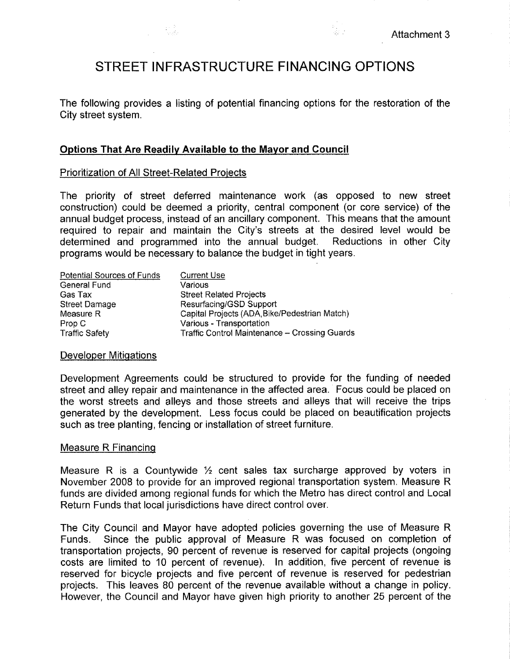# **STREET INFRASTRUCTURE FINANCING OPTIONS**

The following provides a listing of potential financing options for the restoration of the City street system.

# **Options That Are Readily Available to the Mayor and Council**

# Prioritization of All Street-Related Projects

The priority of street deferred maintenance work (as opposed to new street construction) could be deemed a priority, central component (or core service) of the annual budget process, instead of an ancillary component. This means that the amount required to repair and maintain the City's streets at the desired level would be determined and programmed into the annual budget. Reductions in other City programs would be necessary to balance the budget in tight years.

| Potential Sources of Funds | <b>Current Use</b>                                   |
|----------------------------|------------------------------------------------------|
| General Fund               | Various                                              |
| Gas Tax                    | <b>Street Related Projects</b>                       |
| <b>Street Damage</b>       | Resurfacing/GSD Support                              |
| Measure R                  | Capital Projects (ADA, Bike/Pedestrian Match)        |
| Prop C                     | Various - Transportation                             |
| <b>Traffic Safety</b>      | <b>Traffic Control Maintenance - Crossing Guards</b> |

#### Developer Mitigations

Development Agreements could be structured to provide for the funding of needed street and alley repair and maintenance in the affected area. Focus could be placed on the worst streets and alleys and those streets and alleys that will receive the trips generated by the development. Less focus could be placed on beautification projects such as tree planting, fencing or installation of street furniture.

#### Measure R Financing

Measure R is a Countywide  $\frac{1}{2}$  cent sales tax surcharge approved by voters in November 2008 to provide for an improved regional transportation system. Measure R funds are divided among regional funds for which the Metro has direct control and Local Return Funds that local jurisdictions have direct control over.

The City Council and Mayor have adopted policies governing the use of Measure R Funds. Since the public approval of Measure R was focused on completion of transportation projects, 90 percent of revenue is reserved for capital projects (ongoing costs are limited to 10 percent of revenue). In addition, five percent of revenue is reserved for bicycle projects and five percent of revenue is reserved for pedestrian projects. This leaves 80 percent of the revenue available without a change in policy. However, the Council and Mayor have given high priority to another 25 percent of the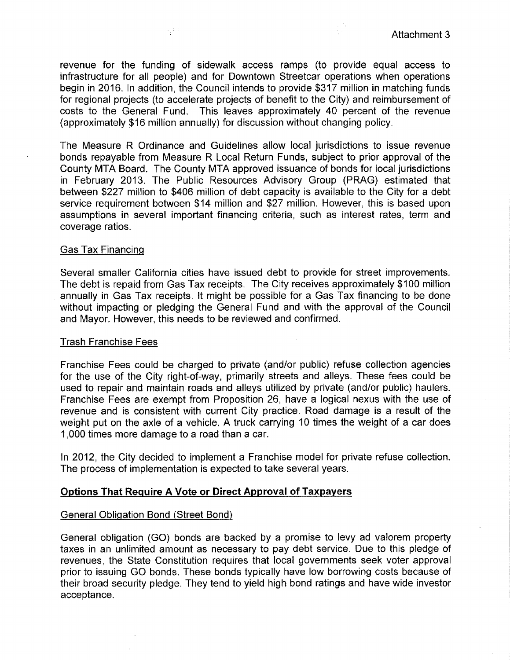revenue for the funding of sidewalk access ramps (to provide equal access to infrastructure for all people) and for Downtown Streetcar operations when operations begin in 2016. In addition, the Council intends to provide \$317 million in matching funds for regional projects (to accelerate projects of benefit to the City) and reimbursement of costs to the General Fund. This leaves approximately 40 percent of the revenue (approximately \$16 million annually) for discussion without changing policy.

속의

The Measure R Ordinance and Guidelines allow local jurisdictions to issue revenue bonds repayable from Measure R Local Return Funds, subject to prior approval of the County MTA Board. The County MTA approved issuance of bonds for local jurisdictions in February 2013. The Public Resources Advisory Group (PRAG) estimated that between \$227 million to \$406 million of debt capacity is available to the City for a debt service requirement between \$14 million and \$27 million. However, this is based upon assumptions in several important financing criteria, such as interest rates, term and coverage ratios.

# Gas Tax Financing

Several smaller California cities have issued debt to provide for street improvements. The debt is repaid from Gas Tax receipts. The City receives approximately \$100 million annually in Gas Tax receipts. It might be possible for a Gas Tax financing to be done without impacting or pledging the General Fund and with the approval of the Council and Mayor. However, this needs to be reviewed and confirmed.

#### Trash Franchise Fees

Franchise Fees could be charged to private (and/or public) refuse collection agencies for the use of the City right-of-way, primarily streets and alleys. These fees could be used to repair and maintain roads and alleys utilized by private (and/or public) haulers. Franchise Fees are exempt from Proposition 26, have a logical nexus with the use of revenue and is consistent with current City practice. Road damage is a result of the weight put on the axle of a vehicle. A truck carrying 10 times the weight of a car does 1,000 times more damage to a road than a car.

In 2012, the City decided to implement a Franchise model for private refuse collection. The process of implementation is expected to take several years.

# **Options That Require A Vote or Direct Approval of Taxpayers**

# General Obligation Bond (Street Bond)

General obligation (GO) bonds are backed by a promise to levy ad valorem property taxes in an unlimited amount as necessary to pay debt service. Due to this pledge of revenues, the State Constitution requires that local governments seek voter approval prior to issuing GO bonds. These bonds typically have low borrowing costs because of their broad security pledge. They tend to yield high bond ratings and have wide investor acceptance.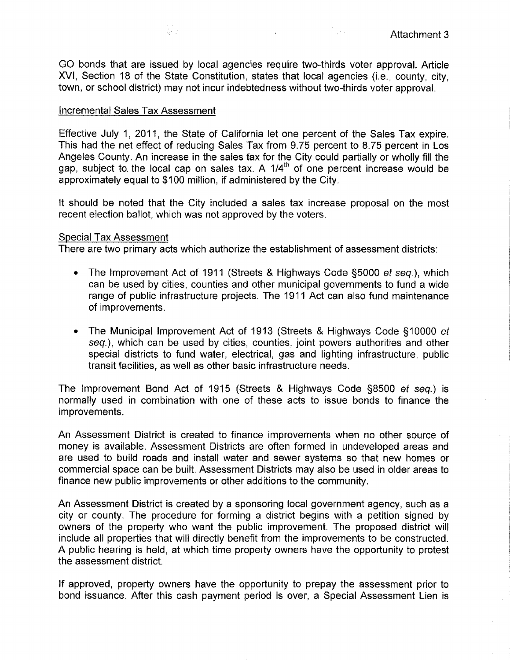$\frac{1}{2} \left( \frac{1}{2} \right) \frac{1}{2}$ 

GO bonds that are issued by local agencies require two-thirds voter approval. Article XVI, Section 18 of the State Constitution, states that local agencies (i.e., county, city, town, or school district) may not incur indebtedness without two-thirds voter approval.

# Incremental Sales Tax Assessment

i<br>Seri

Effective July 1, 2011, the State of California let one percent of the Sales Tax expire. This had the net effect of reducing Sales Tax from 9.75 percent to 8.75 percent in Los Angeles County. An increase in the sales tax for the City could partially or wholly fill the gap, subject to the local cap on sales tax. A *1/4th* of one percent increase would be approximately equal to \$100 million, if administered by the City.

It should be noted that the City included a sales tax increase proposal on the most recent election ballot, which was not approved by the voters.

#### Special Tax Assessment

There are two primary acts which authorize the establishment of assessment districts:

- The Improvement Act of 1911 (Streets & Highways Code §5000 *et* seq.), which can be used by cities, counties and other municipal governments to fund a wide range of public infrastructure projects. The 1911 Act can also fund maintenance of improvements.
- The Municipal Improvement Act of 1913 (Streets & Highways Code §10000 *et* seq.), which can be used by cities, counties, joint powers authorities and other special districts to fund water, electrical, gas and lighting infrastructure, public transit facilities, as well as other basic infrastructure needs.

The Improvement Bond Act of 1915 (Streets & Highways Code §8500 *et seq.)* is normally used in combination with one of these acts to issue bonds to finance the improvements.

An Assessment District is created to finance improvements when no other source of money is available. Assessment Districts are often formed in undeveloped areas and are used to build roads and install water and sewer systems so that new homes or commercial space can be built. Assessment Districts may also be used in older areas to finance new public improvements or other additions to the community.

An Assessment District is created by a sponsoring local government agency, such as a city or county. The procedure for forming a district begins with a petition signed by owners of the property who want the public improvement. The proposed district will include all properties that will directly benefit from the improvements to be constructed. A public hearing is held, at which time property owners have the opportunity to protest the assessment district.

If approved, property owners have the opportunity to prepay the assessment prior to bond issuance. After this cash payment period is over, a Special Assessment Lien is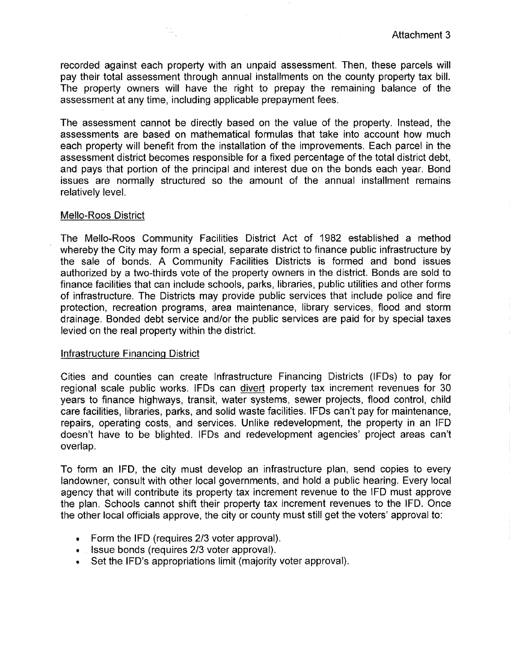recorded against each property with an unpaid assessment. Then, these parcels wlll pay their total assessment through annual installments on the county property tax bill. The property owners will have the right to prepay the remaining balance of the assessment at any time, including applicable prepayment fees.

 $\frac{1}{2}$ 

The assessment cannot be directly based on the value of the property. Instead, the assessments are based on mathematical formulas that take into account how much each property will benefit from the installation of the improvements. Each parcel in the assessment district becomes responsible for a fixed percentage of the total district debt, and pays that portion of the principal and interest due on the bonds each year. Bond issues are normally structured so the amount of the annual installment remains relatively level.

# Mello-Roos District

The Mello-Roos Community Facilities District Act of 1982 established a method whereby the City may form a special, separate district to finance public infrastructure by the sale of bonds. A Community Facilities Districts is formed and bond issues authorized by a two-thirds vote of the property owners in the district. Bonds are sold to finance facilities that can include schools, parks, libraries, public utilities and other forms of infrastructure. The Districts may provide public services that include police and fire protection, recreation programs, area maintenance, library services, flood and storm drainage. Bonded debt service and/or the public services are paid for by special taxes levied on the real property within the district.

# Infrastructure Financing District

Cities and counties can create Infrastructure Financing Districts (IFDs) to pay for regional scale public works. IFDs can divert property tax increment revenues for 30 years to finance highways, transit, water systems, sewer projects, flood control, child care facilities, libraries, parks, and solid waste facilities. IFOs can't pay for maintenance, repairs, operating costs, and services. Unlike redevelopment, the property in an IFD doesn't have to be blighted. IFOs and redevelopment agencies' project areas can't overlap.

To form an IFD, the city must develop an infrastructure plan, send copies to every landowner, consult with other local governments, and hold a public hearing. Every local agency that will contribute its property tax increment revenue to the IFO must approve the plan. Schools cannot shift their property tax increment revenues to the IFD. Once the other local officials approve, the city or county must still get the voters' approval to:

- Form the IFD (requires 2/3 voter approval).
- Issue bonds (requires *2/3* voter approval).
- Set the IFD's appropriations limit (majority voter approval).